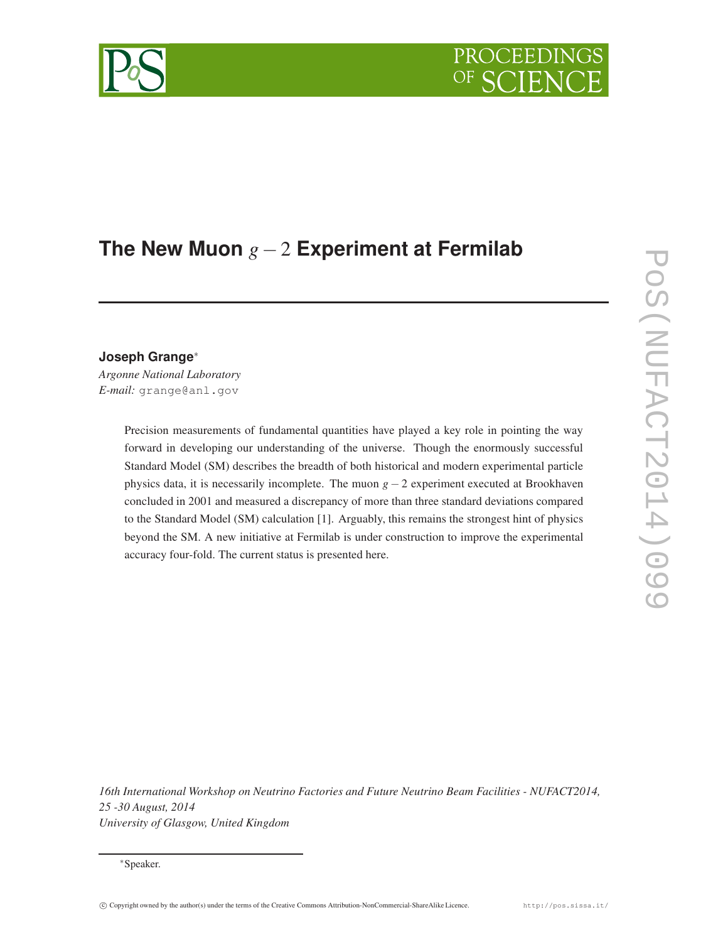# **The New Muon** *g*−2 **Experiment at Fermilab**

**Joseph Grange**<sup>∗</sup>

*Argonne National Laboratory E-mail:* grange@anl.gov

> Precision measurements of fundamental quantities have played a key role in pointing the way forward in developing our understanding of the universe. Though the enormously successful Standard Model (SM) describes the breadth of both historical and modern experimental particle physics data, it is necessarily incomplete. The muon *g* − 2 experiment executed at Brookhaven concluded in 2001 and measured a discrepancy of more than three standard deviations compared to the Standard Model (SM) calculation [1]. Arguably, this remains the strongest hint of physics beyond the SM. A new initiative at Fermilab is under construction to improve the experimental accuracy four-fold. The current status is presented here.

*16th International Workshop on Neutrino Factories and Future Neutrino Beam Facilities - NUFACT2014, 25 -30 August, 2014 University of Glasgow, United Kingdom*

<sup>∗</sup>Speaker.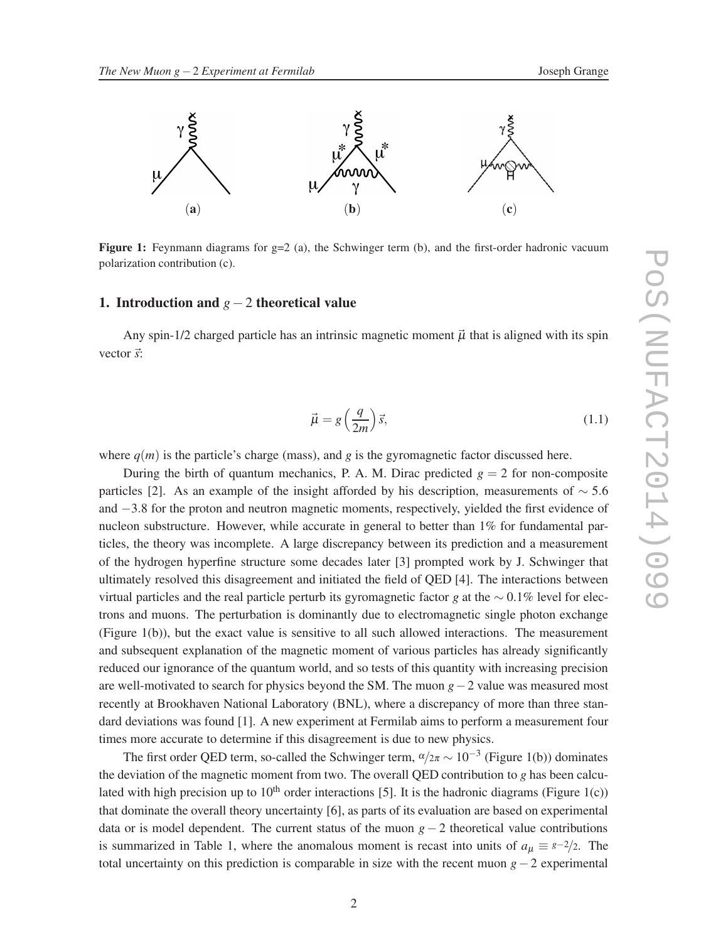



**Figure 1:** Feynmann diagrams for  $g=2$  (a), the Schwinger term (b), and the first-order hadronic vacuum polarization contribution (c).

# 1. Introduction and *g*−2 theoretical value

Any spin-1/2 charged particle has an intrinsic magnetic moment  $\vec{\mu}$  that is aligned with its spin vector  $\vec{s}$ :

$$
\vec{\mu} = g\left(\frac{q}{2m}\right)\vec{s},\tag{1.1}
$$

where  $q(m)$  is the particle's charge (mass), and  $q$  is the gyromagnetic factor discussed here.

During the birth of quantum mechanics, P. A. M. Dirac predicted  $g = 2$  for non-composite particles [2]. As an example of the insight afforded by his description, measurements of  $\sim$  5.6 and −3.8 for the proton and neutron magnetic moments, respectively, yielded the first evidence of nucleon substructure. However, while accurate in general to better than 1% for fundamental particles, the theory was incomplete. A large discrepancy between its prediction and a measurement of the hydrogen hyperfine structure some decades later [3] prompted work by J. Schwinger that ultimately resolved this disagreement and initiated the field of QED [4]. The interactions between virtual particles and the real particle perturb its gyromagnetic factor *g* at the ∼ 0.1% level for electrons and muons. The perturbation is dominantly due to electromagnetic single photon exchange (Figure 1(b)), but the exact value is sensitive to all such allowed interactions. The measurement and subsequent explanation of the magnetic moment of various particles has already significantly reduced our ignorance of the quantum world, and so tests of this quantity with increasing precision are well-motivated to search for physics beyond the SM. The muon *g*−2 value was measured most recently at Brookhaven National Laboratory (BNL), where a discrepancy of more than three standard deviations was found [1]. A new experiment at Fermilab aims to perform a measurement four times more accurate to determine if this disagreement is due to new physics.

The first order QED term, so-called the Schwinger term,  $\alpha/\alpha \sim 10^{-3}$  (Figure 1(b)) dominates the deviation of the magnetic moment from two. The overall QED contribution to *g* has been calculated with high precision up to 10<sup>th</sup> order interactions [5]. It is the hadronic diagrams (Figure 1(c)) that dominate the overall theory uncertainty [6], as parts of its evaluation are based on experimental data or is model dependent. The current status of the muon *g* − 2 theoretical value contributions is summarized in Table 1, where the anomalous moment is recast into units of  $a_{\mu} \equiv s^{-2/2}$ . The total uncertainty on this prediction is comparable in size with the recent muon *g*−2 experimental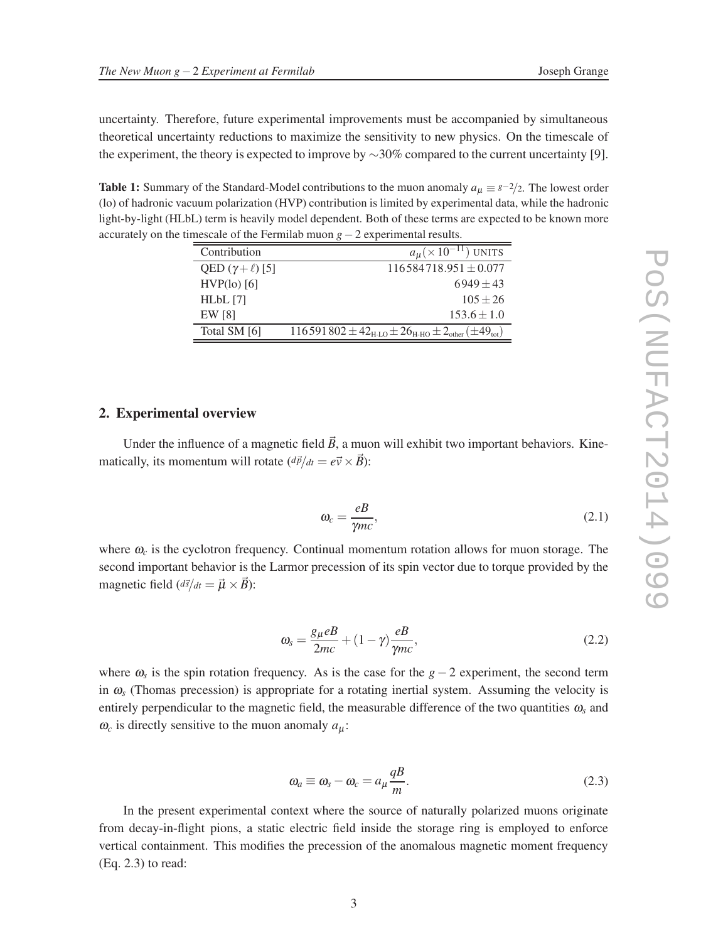uncertainty. Therefore, future experimental improvements must be accompanied by simultaneous theoretical uncertainty reductions to maximize the sensitivity to new physics. On the timescale of the experiment, the theory is expected to improve by ∼30% compared to the current uncertainty [9].

**Table 1:** Summary of the Standard-Model contributions to the muon anomaly  $a_{\mu} \equiv s^{-2/2}$ . The lowest order (lo) of hadronic vacuum polarization (HVP) contribution is limited by experimental data, while the hadronic light-by-light (HLbL) term is heavily model dependent. Both of these terms are expected to be known more accurately on the timescale of the Fermilab muon *g*−2 experimental results.

| Contribution              | $a_{\mu}$ (× 10 <sup>-11</sup> ) UNITS                                                           |
|---------------------------|--------------------------------------------------------------------------------------------------|
| QED $(\gamma + \ell)$ [5] | $116584718.951 \pm 0.077$                                                                        |
| $HVP(10)$ [6]             | $6949 \pm 43$                                                                                    |
| $HLbL$ [7]                | $105 + 26$                                                                                       |
| EW [8]                    | $153.6 \pm 1.0$                                                                                  |
| Total SM [6]              | $116591802 \pm 42_{\text{H-LO}} \pm 26_{\text{H-HO}} \pm 2_{\text{other}} (\pm 49_{\text{tot}})$ |

#### 2. Experimental overview

Under the influence of a magnetic field  $\vec{B}$ , a muon will exhibit two important behaviors. Kinematically, its momentum will rotate  $\left(\frac{d\vec{p}}{dt} = e\vec{v} \times \vec{B}\right)$ :

$$
\omega_c = \frac{eB}{\gamma mc},\tag{2.1}
$$

where  $\omega_c$  is the cyclotron frequency. Continual momentum rotation allows for muon storage. The second important behavior is the Larmor precession of its spin vector due to torque provided by the magnetic field  $\left(\frac{d\vec{s}}{dt} = \vec{\mu} \times \vec{B}\right)$ :

$$
\omega_s = \frac{g_\mu eB}{2mc} + (1 - \gamma) \frac{eB}{\gamma mc},\tag{2.2}
$$

where <sup>ω</sup>*<sup>s</sup>* is the spin rotation frequency. As is the case for the *g*− 2 experiment, the second term in  $\omega$ <sub>s</sub> (Thomas precession) is appropriate for a rotating inertial system. Assuming the velocity is entirely perpendicular to the magnetic field, the measurable difference of the two quantities  $\omega_s$  and  $\omega_c$  is directly sensitive to the muon anomaly  $a_\mu$ :

$$
\omega_a \equiv \omega_s - \omega_c = a_\mu \frac{qB}{m}.\tag{2.3}
$$

In the present experimental context where the source of naturally polarized muons originate from decay-in-flight pions, a static electric field inside the storage ring is employed to enforce vertical containment. This modifies the precession of the anomalous magnetic moment frequency (Eq. 2.3) to read: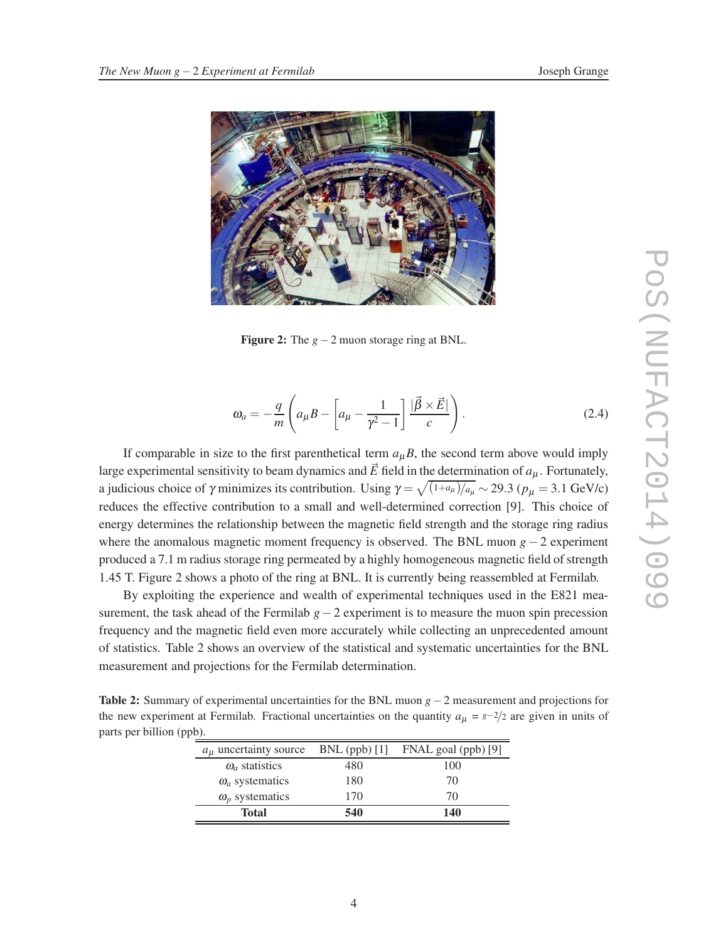

Figure 2: The *g*−2 muon storage ring at BNL.

$$
\omega_a = -\frac{q}{m} \left( a_\mu B - \left[ a_\mu - \frac{1}{\gamma^2 - 1} \right] \frac{|\vec{\beta} \times \vec{E}|}{c} \right). \tag{2.4}
$$

If comparable in size to the first parenthetical term  $a<sub>u</sub>B$ , the second term above would imply large experimental sensitivity to beam dynamics and  $\vec{E}$  field in the determination of  $a_{\mu}$ . Fortunately, a judicious choice of  $\gamma$  minimizes its contribution. Using  $\gamma = \sqrt{\frac{(1+a_\mu)}{a_\mu}} \sim 29.3$  ( $p_\mu = 3.1$  GeV/c) reduces the effective contribution to a small and well-determined correction [9]. This choice of energy determines the relationship between the magnetic field strength and the storage ring radius where the anomalous magnetic moment frequency is observed. The BNL muon *g*− 2 experiment produced a 7.1 m radius storage ring permeated by a highly homogeneous magnetic field of strength 1.45 T. Figure 2 shows a photo of the ring at BNL. It is currently being reassembled at Fermilab.

By exploiting the experience and wealth of experimental techniques used in the E821 measurement, the task ahead of the Fermilab *g*−2 experiment is to measure the muon spin precession frequency and the magnetic field even more accurately while collecting an unprecedented amount of statistics. Table 2 shows an overview of the statistical and systematic uncertainties for the BNL measurement and projections for the Fermilab determination.

Table 2: Summary of experimental uncertainties for the BNL muon *g*−2 measurement and projections for the new experiment at Fermilab. Fractional uncertainties on the quantity  $a_{\mu} = s - 2/2$  are given in units of parts per billion (ppb).

| $\omega_a$ statistics<br>$\omega_a$ systematics | 480<br>180 | 100<br>70 |
|-------------------------------------------------|------------|-----------|
| $\omega_p$ systematics                          | 170        | 70        |
| <b>Total</b>                                    | 540        | 140       |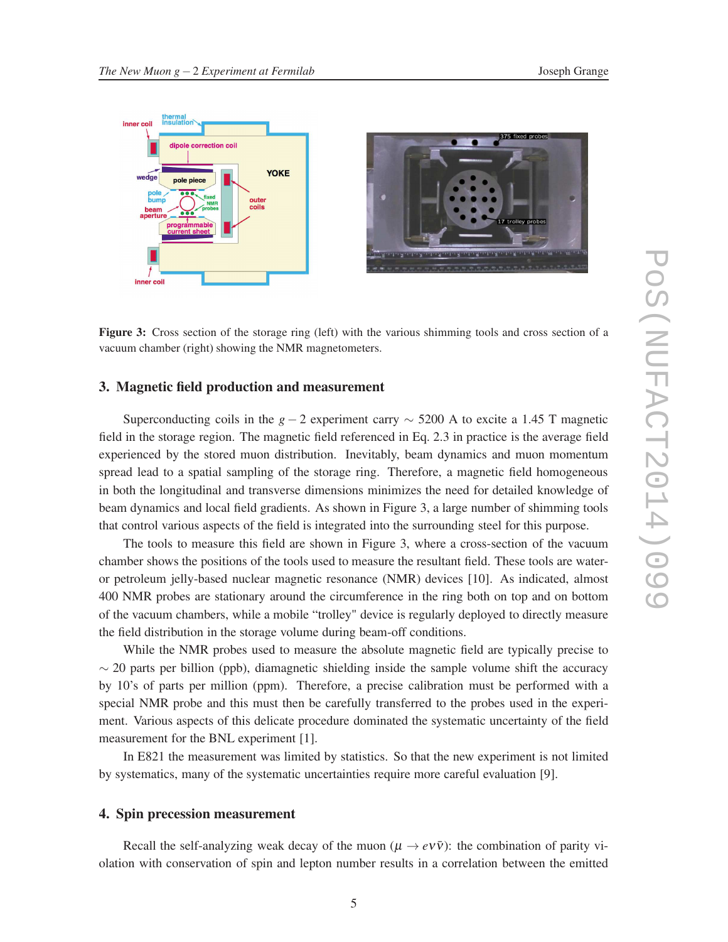

Figure 3: Cross section of the storage ring (left) with the various shimming tools and cross section of a vacuum chamber (right) showing the NMR magnetometers.

#### 3. Magnetic field production and measurement

Superconducting coils in the *g* − 2 experiment carry  $\sim$  5200 A to excite a 1.45 T magnetic field in the storage region. The magnetic field referenced in Eq. 2.3 in practice is the average field experienced by the stored muon distribution. Inevitably, beam dynamics and muon momentum spread lead to a spatial sampling of the storage ring. Therefore, a magnetic field homogeneous in both the longitudinal and transverse dimensions minimizes the need for detailed knowledge of beam dynamics and local field gradients. As shown in Figure 3, a large number of shimming tools that control various aspects of the field is integrated into the surrounding steel for this purpose.

The tools to measure this field are shown in Figure 3, where a cross-section of the vacuum chamber shows the positions of the tools used to measure the resultant field. These tools are wateror petroleum jelly-based nuclear magnetic resonance (NMR) devices [10]. As indicated, almost 400 NMR probes are stationary around the circumference in the ring both on top and on bottom of the vacuum chambers, while a mobile "trolley" device is regularly deployed to directly measure the field distribution in the storage volume during beam-off conditions.

While the NMR probes used to measure the absolute magnetic field are typically precise to  $\sim$  20 parts per billion (ppb), diamagnetic shielding inside the sample volume shift the accuracy by 10's of parts per million (ppm). Therefore, a precise calibration must be performed with a special NMR probe and this must then be carefully transferred to the probes used in the experiment. Various aspects of this delicate procedure dominated the systematic uncertainty of the field measurement for the BNL experiment [1].

In E821 the measurement was limited by statistics. So that the new experiment is not limited by systematics, many of the systematic uncertainties require more careful evaluation [9].

### 4. Spin precession measurement

Recall the self-analyzing weak decay of the muon  $(\mu \to e\nu\bar{\nu})$ : the combination of parity violation with conservation of spin and lepton number results in a correlation between the emitted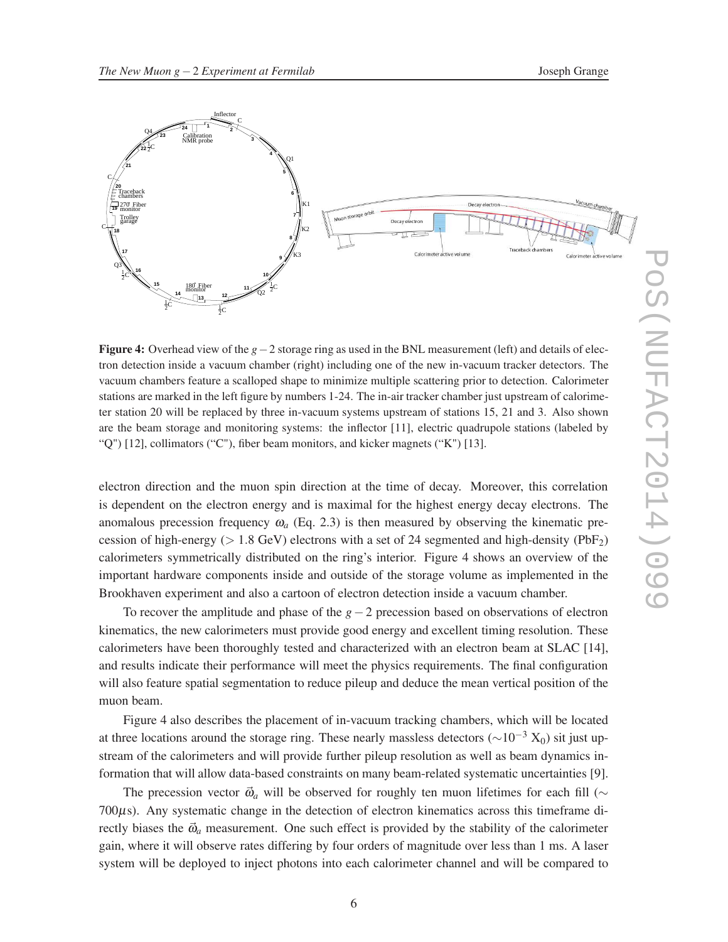

Figure 4: Overhead view of the *g*−2 storage ring as used in the BNL measurement (left) and details of electron detection inside a vacuum chamber (right) including one of the new in-vacuum tracker detectors. The vacuum chambers feature a scalloped shape to minimize multiple scattering prior to detection. Calorimeter stations are marked in the left figure by numbers 1-24. The in-air tracker chamber just upstream of calorimeter station 20 will be replaced by three in-vacuum systems upstream of stations 15, 21 and 3. Also shown are the beam storage and monitoring systems: the inflector [11], electric quadrupole stations (labeled by "Q") [12], collimators ("C"), fiber beam monitors, and kicker magnets ("K") [13].

electron direction and the muon spin direction at the time of decay. Moreover, this correlation is dependent on the electron energy and is maximal for the highest energy decay electrons. The anomalous precession frequency  $\omega_a$  (Eq. 2.3) is then measured by observing the kinematic precession of high-energy ( $> 1.8$  GeV) electrons with a set of 24 segmented and high-density (PbF<sub>2</sub>) calorimeters symmetrically distributed on the ring's interior. Figure 4 shows an overview of the important hardware components inside and outside of the storage volume as implemented in the Brookhaven experiment and also a cartoon of electron detection inside a vacuum chamber.

To recover the amplitude and phase of the *g*−2 precession based on observations of electron kinematics, the new calorimeters must provide good energy and excellent timing resolution. These calorimeters have been thoroughly tested and characterized with an electron beam at SLAC [14], and results indicate their performance will meet the physics requirements. The final configuration will also feature spatial segmentation to reduce pileup and deduce the mean vertical position of the muon beam.

Figure 4 also describes the placement of in-vacuum tracking chambers, which will be located at three locations around the storage ring. These nearly massless detectors ( $\sim 10^{-3}$  X<sub>0</sub>) sit just upstream of the calorimeters and will provide further pileup resolution as well as beam dynamics information that will allow data-based constraints on many beam-related systematic uncertainties [9].

The precession vector  $\vec{\omega}_a$  will be observed for roughly ten muon lifetimes for each fill ( $\sim$ 700µs). Any systematic change in the detection of electron kinematics across this timeframe directly biases the  $\vec{\omega}_a$  measurement. One such effect is provided by the stability of the calorimeter gain, where it will observe rates differing by four orders of magnitude over less than 1 ms. A laser system will be deployed to inject photons into each calorimeter channel and will be compared to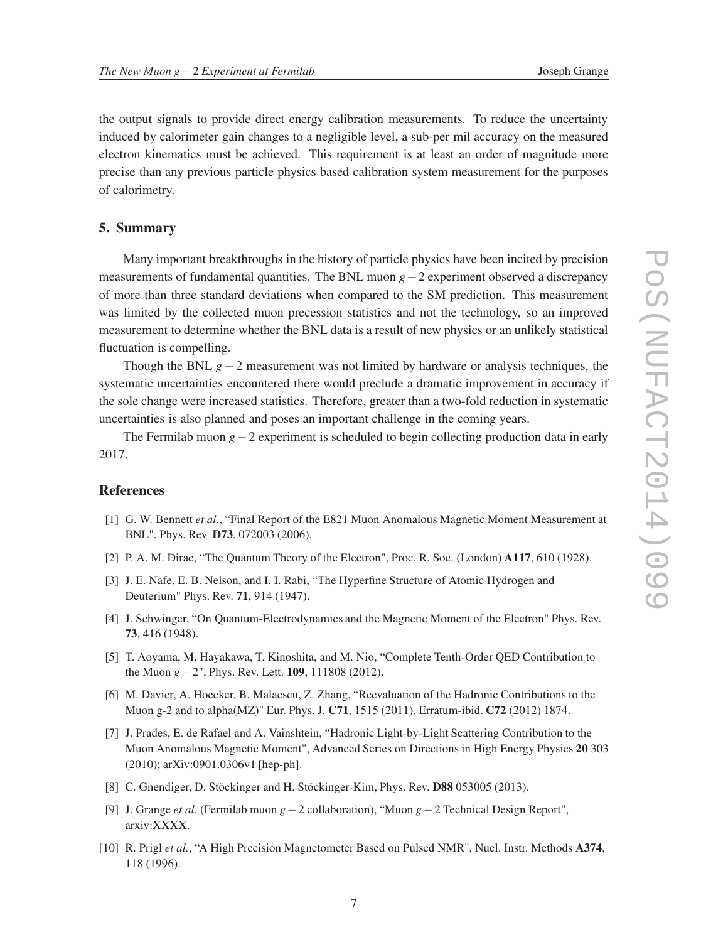the output signals to provide direct energy calibration measurements. To reduce the uncertainty induced by calorimeter gain changes to a negligible level, a sub-per mil accuracy on the measured electron kinematics must be achieved. This requirement is at least an order of magnitude more precise than any previous particle physics based calibration system measurement for the purposes of calorimetry.

# 5. Summary

Many important breakthroughs in the history of particle physics have been incited by precision measurements of fundamental quantities. The BNL muon *g*−2 experiment observed a discrepancy of more than three standard deviations when compared to the SM prediction. This measurement was limited by the collected muon precession statistics and not the technology, so an improved measurement to determine whether the BNL data is a result of new physics or an unlikely statistical fluctuation is compelling.

Though the BNL *g*−2 measurement was not limited by hardware or analysis techniques, the systematic uncertainties encountered there would preclude a dramatic improvement in accuracy if the sole change were increased statistics. Therefore, greater than a two-fold reduction in systematic uncertainties is also planned and poses an important challenge in the coming years.

The Fermilab muon *g*−2 experiment is scheduled to begin collecting production data in early 2017.

# References

- [1] G. W. Bennett *et al.*, "Final Report of the E821 Muon Anomalous Magnetic Moment Measurement at BNL", Phys. Rev. D73, 072003 (2006).
- [2] P. A. M. Dirac, "The Quantum Theory of the Electron", Proc. R. Soc. (London) A117, 610 (1928).
- [3] J. E. Nafe, E. B. Nelson, and I. I. Rabi, "The Hyperfine Structure of Atomic Hydrogen and Deuterium" Phys. Rev. 71, 914 (1947).
- [4] J. Schwinger, "On Quantum-Electrodynamics and the Magnetic Moment of the Electron" Phys. Rev. 73, 416 (1948).
- [5] T. Aoyama, M. Hayakawa, T. Kinoshita, and M. Nio, "Complete Tenth-Order QED Contribution to the Muon *g*−2", Phys. Rev. Lett. 109, 111808 (2012).
- [6] M. Davier, A. Hoecker, B. Malaescu, Z. Zhang, "Reevaluation of the Hadronic Contributions to the Muon g-2 and to alpha(MZ)" Eur. Phys. J. C71, 1515 (2011), Erratum-ibid. C72 (2012) 1874.
- [7] J. Prades, E. de Rafael and A. Vainshtein, "Hadronic Light-by-Light Scattering Contribution to the Muon Anomalous Magnetic Moment", Advanced Series on Directions in High Energy Physics 20 303 (2010); arXiv:0901.0306v1 [hep-ph].
- [8] C. Gnendiger, D. Stöckinger and H. Stöckinger-Kim, Phys. Rev. D88 053005 (2013).
- [9] J. Grange *et al.* (Fermilab muon *g*−2 collaboration), "Muon *g*−2 Technical Design Report", arxiv:XXXX.
- [10] R. Prigl *et al.*, "A High Precision Magnetometer Based on Pulsed NMR", Nucl. Instr. Methods A374, 118 (1996).